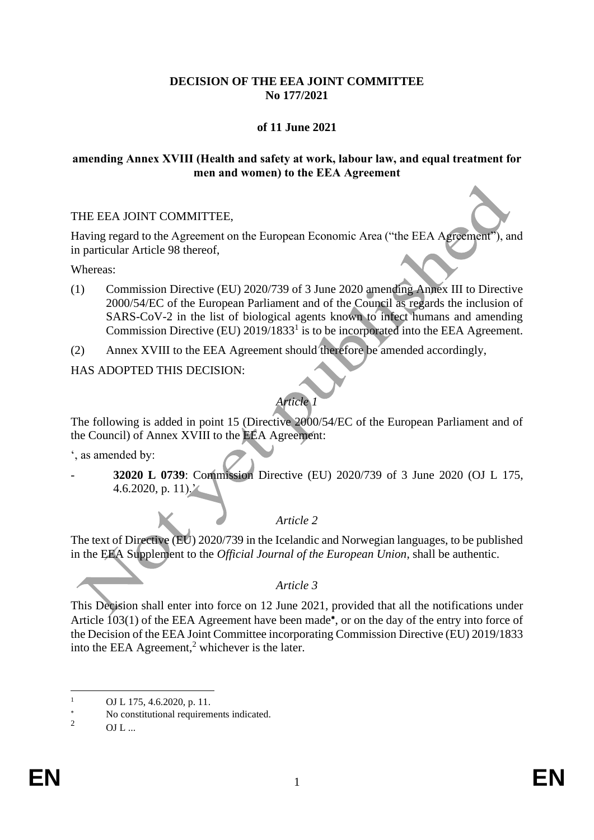# **DECISION OF THE EEA JOINT COMMITTEE No 177/2021**

# **of 11 June 2021**

### **amending Annex XVIII (Health and safety at work, labour law, and equal treatment for men and women) to the EEA Agreement**

### THE EEA JOINT COMMITTEE,

Having regard to the Agreement on the European Economic Area ("the EEA Agreement"), and in particular Article 98 thereof,

Whereas:

- (1) Commission Directive (EU) 2020/739 of 3 June 2020 amending Annex III to Directive 2000/54/EC of the European Parliament and of the Council as regards the inclusion of SARS-CoV-2 in the list of biological agents known to infect humans and amending Commission Directive (EU)  $2019/1833<sup>1</sup>$  is to be incorporated into the EEA Agreement.
- (2) Annex XVIII to the EEA Agreement should therefore be amended accordingly,

HAS ADOPTED THIS DECISION:

# *Article 1*

The following is added in point 15 (Directive 2000/54/EC of the European Parliament and of the Council) of Annex XVIII to the EEA Agreement:

', as amended by:

- **32020 L 0739**: Commission Directive (EU) 2020/739 of 3 June 2020 (OJ L 175, 4.6.2020, p. 11).'

# *Article 2*

The text of Directive (EU) 2020/739 in the Icelandic and Norwegian languages, to be published in the EEA Supplement to the *Official Journal of the European Union*, shall be authentic.

### *Article 3*

This Decision shall enter into force on 12 June 2021, provided that all the notifications under Article 103(1) of the EEA Agreement have been made<sup>\*</sup>, or on the day of the entry into force of the Decision of the EEA Joint Committee incorporating Commission Directive (EU) 2019/1833 into the EEA Agreement, $<sup>2</sup>$  whichever is the later.</sup>

<sup>1</sup> OJ L 175, 4.6.2020, p. 11.

 $\frac{1}{2}$  No constitutional requirements indicated.

 $OL$  ...